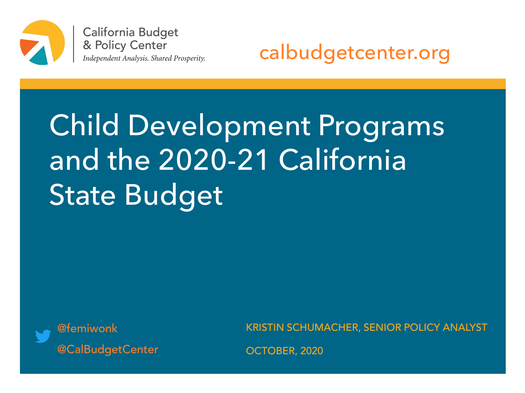

California Budget & Policy Center Independent Analysis. Shared Prosperity.

calbudgetcenter.org

# Child Development Programs and the 2020-21 California State Budget



KRISTIN SCHUMACHER, SENIOR POLICY ANALYST

OCTOBER, 2020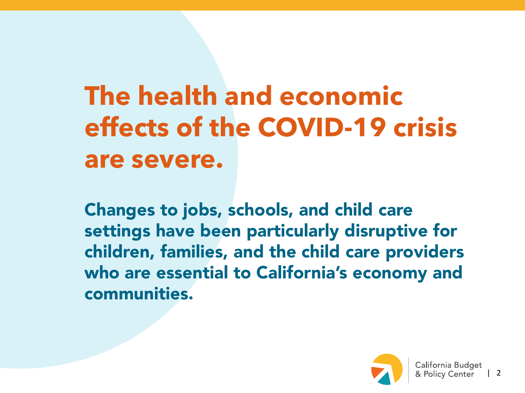## **The health and economic effects of the COVID-19 crisis are severe.**

Changes to jobs, schools, and child care settings have been particularly disruptive for children, families, and the child care providers who are essential to California's economy and communities.

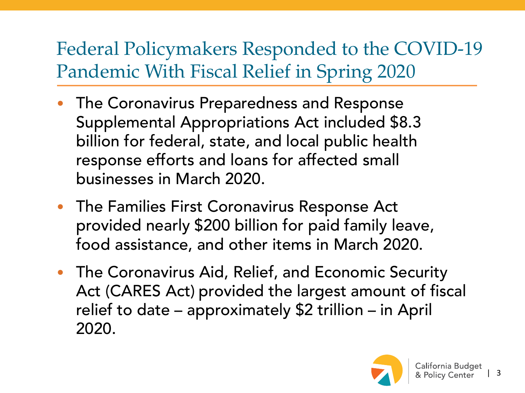### Federal Policymakers Responded to the COVID-19 Pandemic With Fiscal Relief in Spring 2020

- The Coronavirus Preparedness and Response Supplemental Appropriations Act included \$8.3 billion for federal, state, and local public health response efforts and loans for affected small businesses in March 2020.
- The Families First Coronavirus Response Act provided nearly \$200 billion for paid family leave, food assistance, and other items in March 2020.
- The Coronavirus Aid, Relief, and Economic Security Act (CARES Act) provided the largest amount of fiscal relief to date – approximately \$2 trillion – in April 2020.

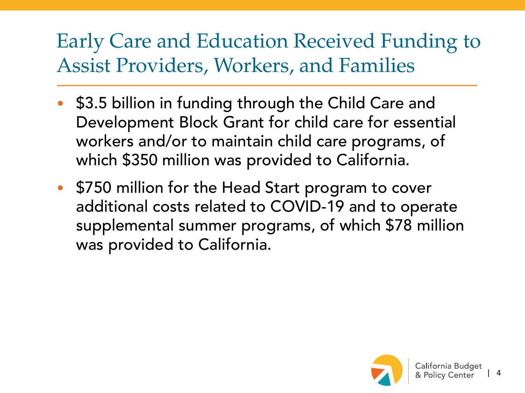## Early Care and Education Received Funding to Assist Providers, Workers, and Families

- \$3.5 billion in funding through the Child Care and Development Block Grant for child care for essential workers and/or to maintain child care programs, of which \$350 million was provided to California.
- \$750 million for the Head Start program to cover additional costs related to COVID-19 and to operate supplemental summer programs, of which \$78 million was provided to California.

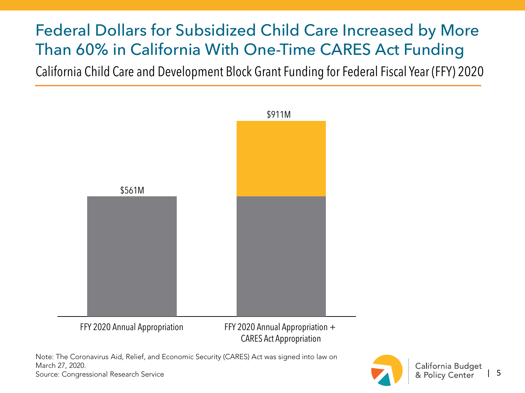#### Federal Dollars for Subsidized Child Care Increased by More Than 60% in California With One-Time CARES Act Funding

California Child Care and Development Block Grant Funding for Federal Fiscal Year (FFY) 2020



CARES Act Appropriation

Note: The Coronavirus Aid, Relief, and Economic Security (CARES) Act was signed into law on March 27, 2020. Source: Congressional Research Service

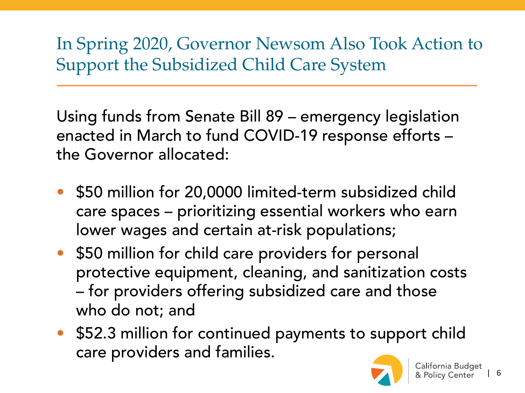In Spring 2020, Governor Newsom Also Took Action to Support the Subsidized Child Care System

Using funds from Senate Bill 89 – emergency legislation enacted in March to fund COVID-19 response efforts – the Governor allocated:

- \$50 million for 20,0000 limited-term subsidized child care spaces – prioritizing essential workers who earn lower wages and certain at-risk populations;
- \$50 million for child care providers for personal protective equipment, cleaning, and sanitization costs – for providers offering subsidized care and those who do not; and
- \$52.3 million for continued payments to support child care providers and families.

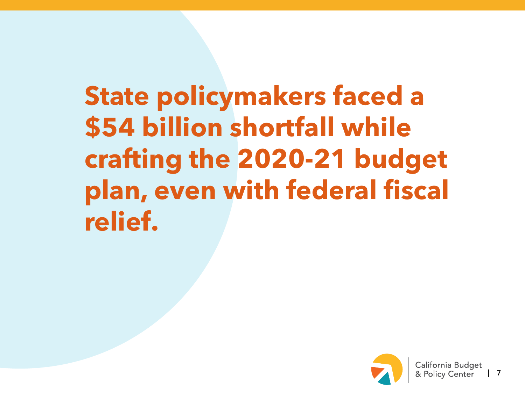**State policymakers faced a \$54 billion shortfall while crafting the 2020-21 budget plan, even with federal fiscal relief.**

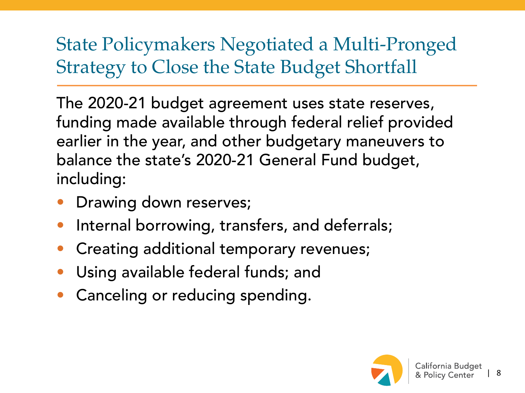#### State Policymakers Negotiated a Multi-Pronged Strategy to Close the State Budget Shortfall

The 2020-21 budget agreement uses state reserves, funding made available through federal relief provided earlier in the year, and other budgetary maneuvers to balance the state's 2020-21 General Fund budget, including:

- Drawing down reserves;
- Internal borrowing, transfers, and deferrals;
- Creating additional temporary revenues;
- Using available federal funds; and
- Canceling or reducing spending.

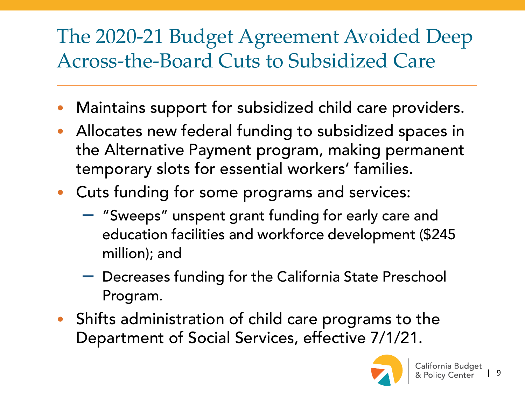## The 2020-21 Budget Agreement Avoided Deep Across-the-Board Cuts to Subsidized Care

- Maintains support for subsidized child care providers.
- Allocates new federal funding to subsidized spaces in the Alternative Payment program, making permanent temporary slots for essential workers' families.
- Cuts funding for some programs and services:
	- "Sweeps" unspent grant funding for early care and education facilities and workforce development (\$245 million); and
	- Decreases funding for the California State Preschool Program.
- Shifts administration of child care programs to the Department of Social Services, effective 7/1/21.

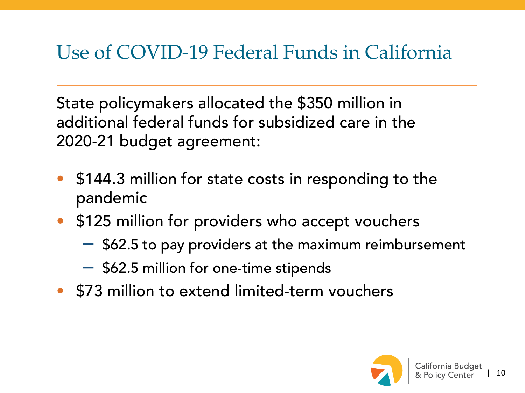### Use of COVID-19 Federal Funds in California

State policymakers allocated the \$350 million in additional federal funds for subsidized care in the 2020-21 budget agreement:

- \$144.3 million for state costs in responding to the pandemic
- \$125 million for providers who accept vouchers
	- \$62.5 to pay providers at the maximum reimbursement
	- \$62.5 million for one-time stipends
- \$73 million to extend limited-term vouchers

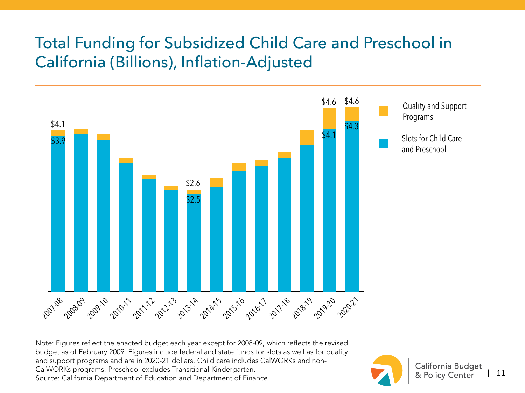#### Total Funding for Subsidized Child Care and Preschool in California (Billions), Inflation-Adjusted



Note: Figures reflect the enacted budget each year except for 2008-09, which reflects the revised budget as of February 2009. Figures include federal and state funds for slots as well as for quality and support programs and are in 2020-21 dollars. Child care includes CalWORKs and non-CalWORKs programs. Preschool excludes Transitional Kindergarten. Source: California Department of Education and Department of Finance

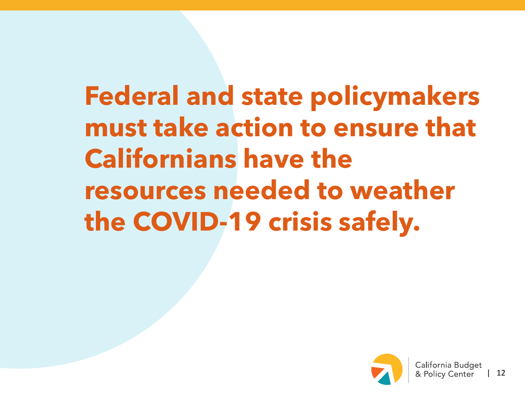**Federal and state policymakers must take action to ensure that Californians have the resources needed to weather the COVID-19 crisis safely.**

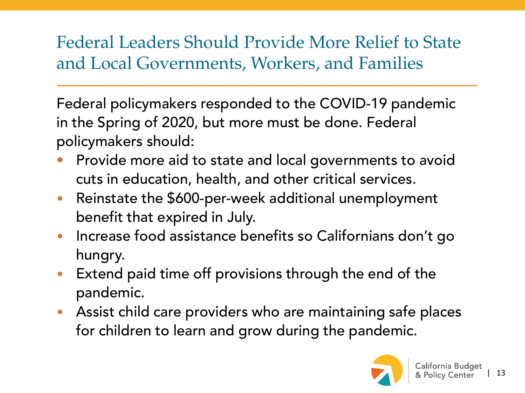#### Federal Leaders Should Provide More Relief to State and Local Governments, Workers, and Families

Federal policymakers responded to the COVID-19 pandemic in the Spring of 2020, but more must be done. Federal policymakers should:

- Provide more aid to state and local governments to avoid cuts in education, health, and other critical services.
- Reinstate the \$600-per-week additional unemployment benefit that expired in July.
- Increase food assistance benefits so Californians don't go hungry.
- Extend paid time off provisions through the end of the pandemic.
- Assist child care providers who are maintaining safe places for children to learn and grow during the pandemic.

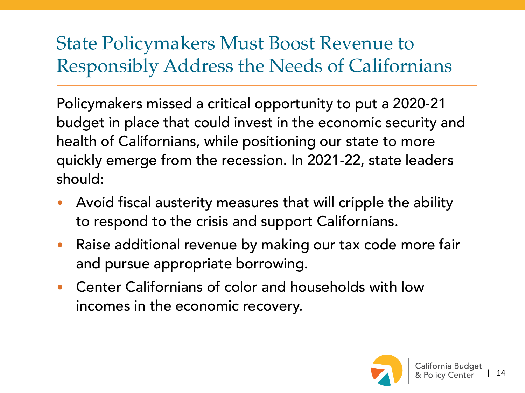#### State Policymakers Must Boost Revenue to Responsibly Address the Needs of Californians

Policymakers missed a critical opportunity to put a 2020-21 budget in place that could invest in the economic security and health of Californians, while positioning our state to more quickly emerge from the recession. In 2021-22, state leaders should:

- Avoid fiscal austerity measures that will cripple the ability to respond to the crisis and support Californians.
- Raise additional revenue by making our tax code more fair and pursue appropriate borrowing.
- Center Californians of color and households with low incomes in the economic recovery.